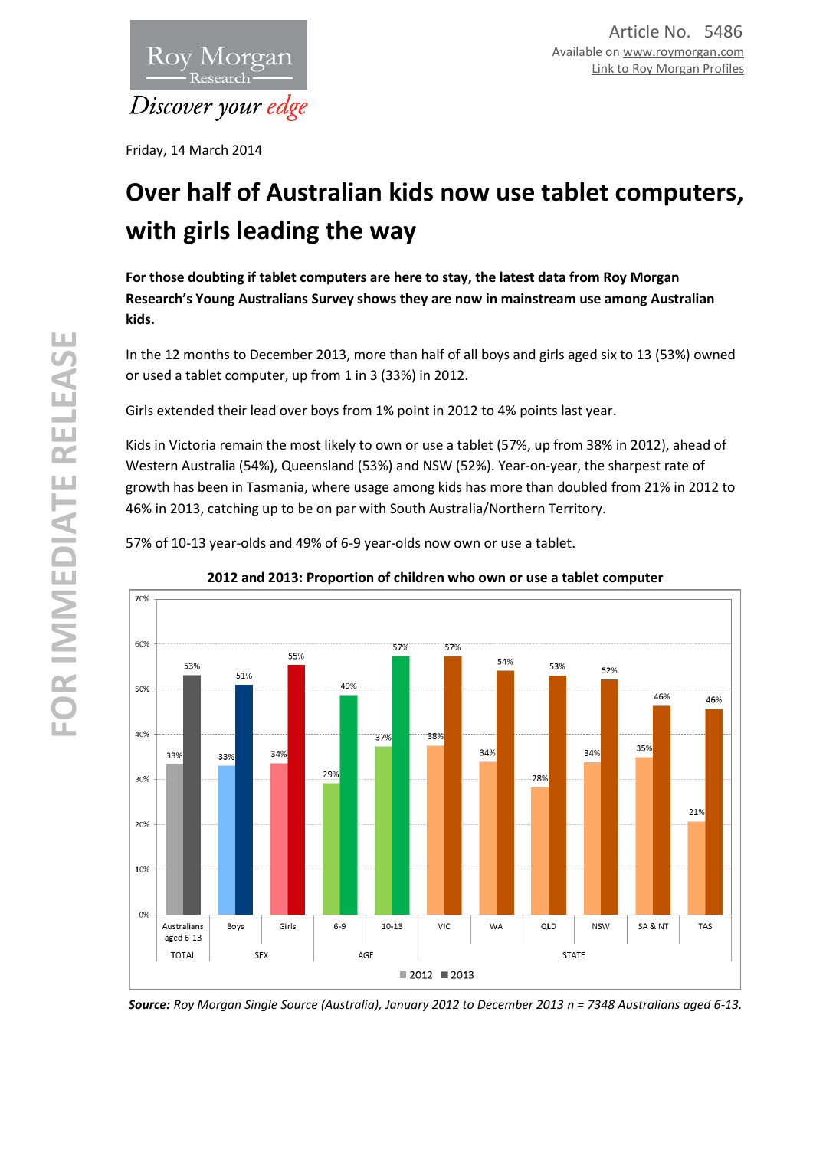

Friday, 14 March 2014

# **Over half of Australian kids now use tablet computers, with girls leading the way**

**For those doubting if tablet computers are here to stay, the latest data from Roy Morgan Research's Young Australians Survey shows they are now in mainstream use among Australian kids.**

In the 12 months to December 2013, more than half of all boys and girls aged six to 13 (53%) owned or used a tablet computer, up from 1 in 3 (33%) in 2012.

Girls extended their lead over boys from 1% point in 2012 to 4% points last year.

Kids in Victoria remain the most likely to own or use a tablet (57%, up from 38% in 2012), ahead of Western Australia (54%), Queensland (53%) and NSW (52%). Year-on-year, the sharpest rate of growth has been in Tasmania, where usage among kids has more than doubled from 21% in 2012 to 46% in 2013, catching up to be on par with South Australia/Northern Territory.

57% of 10-13 year-olds and 49% of 6-9 year-olds now own or use a tablet.



## **2012 and 2013: Proportion of children who own or use a tablet computer**

*Source: Roy Morgan Single Source (Australia), January 2012 to December 2013 n = 7348 Australians aged 6-13.*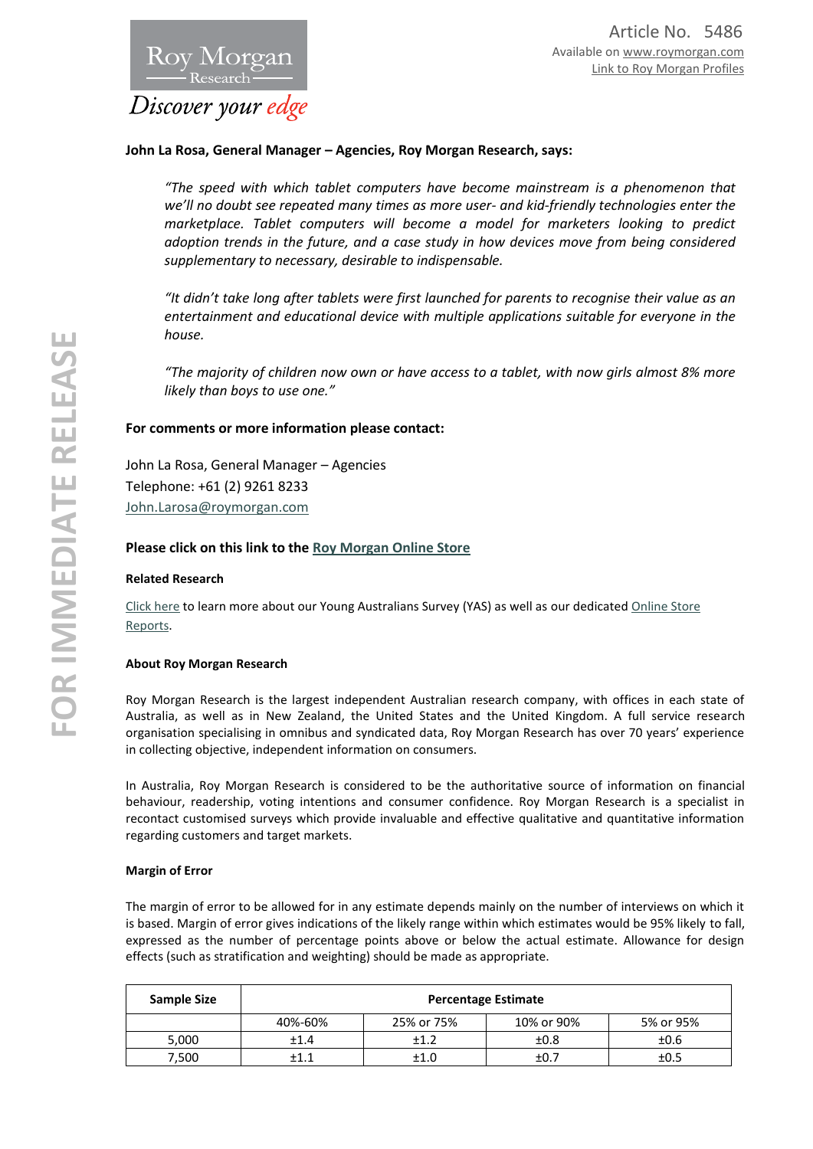## Discover your edge

Roy Morgan

### **John La Rosa, General Manager – Agencies, Roy Morgan Research, says:**

*"The speed with which tablet computers have become mainstream is a phenomenon that we'll no doubt see repeated many times as more user- and kid-friendly technologies enter the marketplace. Tablet computers will become a model for marketers looking to predict adoption trends in the future, and a case study in how devices move from being considered supplementary to necessary, desirable to indispensable.* 

*"It didn't take long after tablets were first launched for parents to recognise their value as an entertainment and educational device with multiple applications suitable for everyone in the house.*

*"The majority of children now own or have access to a tablet, with now girls almost 8% more likely than boys to use one."* 

### **For comments or more information please contact:**

John La Rosa, General Manager – Agencies Telephone: +61 (2) 9261 8233 [John.Larosa@roymorgan.com](mailto:John.Larosa@roymorgan.com)

#### **Please click on this link to the [Roy Morgan Online Store](http://www.roymorganonlinestore.com/)**

#### **Related Research**

[Click here](http://www.roymorgan.com.au/products/young-australians-survey) to learn more about our Young Australians Survey (YAS) as well as our dedicate[d Online Store](http://www.roymorganonlinestore.com/Browse/Australia/Young-Australians.aspx)  [Reports.](http://www.roymorganonlinestore.com/Browse/Australia/Young-Australians.aspx)

#### **About Roy Morgan Research**

Roy Morgan Research is the largest independent Australian research company, with offices in each state of Australia, as well as in New Zealand, the United States and the United Kingdom. A full service research organisation specialising in omnibus and syndicated data, Roy Morgan Research has over 70 years' experience in collecting objective, independent information on consumers.

In Australia, Roy Morgan Research is considered to be the authoritative source of information on financial behaviour, readership, voting intentions and consumer confidence. Roy Morgan Research is a specialist in recontact customised surveys which provide invaluable and effective qualitative and quantitative information regarding customers and target markets.

#### **Margin of Error**

The margin of error to be allowed for in any estimate depends mainly on the number of interviews on which it is based. Margin of error gives indications of the likely range within which estimates would be 95% likely to fall, expressed as the number of percentage points above or below the actual estimate. Allowance for design effects (such as stratification and weighting) should be made as appropriate.

| Sample Size | <b>Percentage Estimate</b> |            |            |           |  |
|-------------|----------------------------|------------|------------|-----------|--|
|             | 40%-60%                    | 25% or 75% | 10% or 90% | 5% or 95% |  |
| 5,000       | ±1.4                       | ±1.2       | ±0.8       | ±0.6      |  |
| 7,500       | +1.1                       | ±1.0       | ±0.7       | ±0.5      |  |